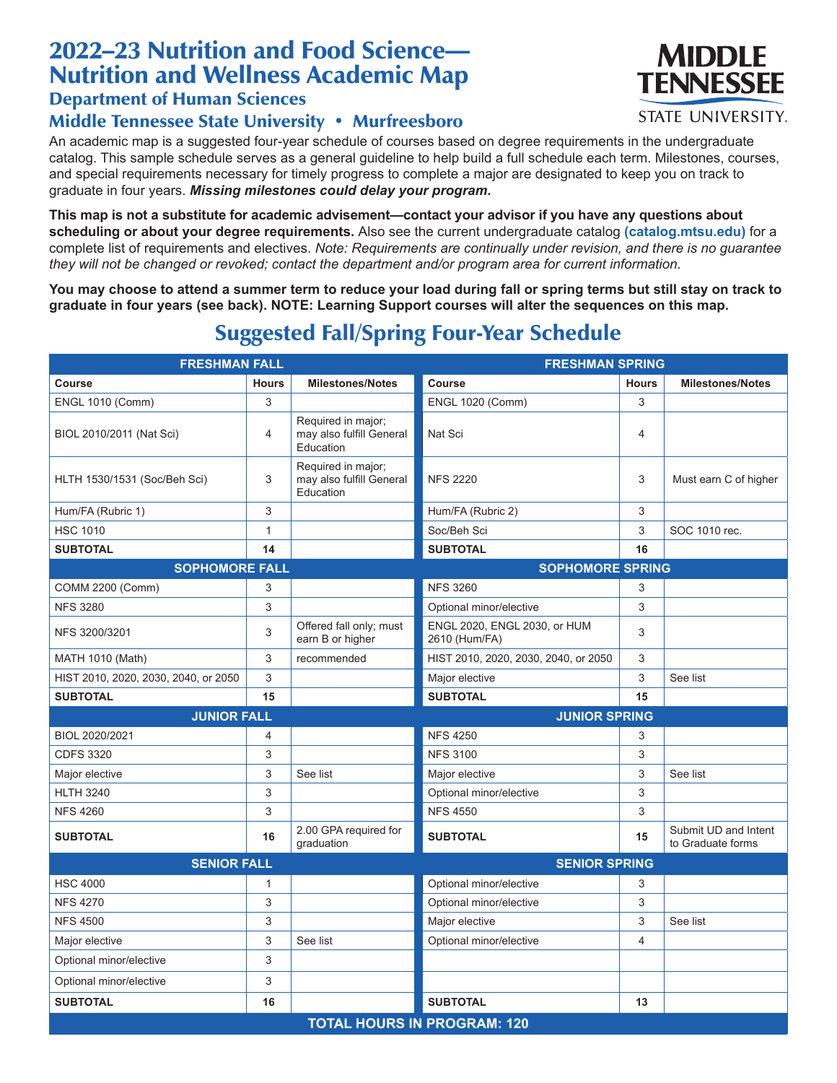### 2022–23 Nutrition and Food Science— Nutrition and Wellness Academic Map

#### Department of Human Sciences

#### Middle Tennessee State University • Murfreesboro

An academic map is a suggested four-year schedule of courses based on degree requirements in the undergraduate catalog. This sample schedule serves as a general guideline to help build a full schedule each term. Milestones, courses, and special requirements necessary for timely progress to complete a major are designated to keep you on track to graduate in four years. *Missing milestones could delay your program.*

**This map is not a substitute for academic advisement—contact your advisor if you have any questions about scheduling or about your degree requirements.** Also see the current undergraduate catalog **(catalog.mtsu.edu)** for a complete list of requirements and electives. *Note: Requirements are continually under revision, and there is no guarantee they will not be changed or revoked; contact the department and/or program area for current information.*

**You may choose to attend a summer term to reduce your load during fall or spring terms but still stay on track to graduate in four years (see back). NOTE: Learning Support courses will alter the sequences on this map.**

# Suggested Fall/Spring Four-Year Schedule

| <b>FRESHMAN FALL</b>                 |                |                                                             | <b>FRESHMAN SPRING</b>                        |                |                                           |  |  |
|--------------------------------------|----------------|-------------------------------------------------------------|-----------------------------------------------|----------------|-------------------------------------------|--|--|
| <b>Course</b>                        | <b>Hours</b>   | <b>Milestones/Notes</b>                                     | Course                                        | <b>Hours</b>   | <b>Milestones/Notes</b>                   |  |  |
| <b>ENGL 1010 (Comm)</b>              | 3              |                                                             | <b>ENGL 1020 (Comm)</b>                       | 3              |                                           |  |  |
| BIOL 2010/2011 (Nat Sci)             | $\overline{4}$ | Required in major;<br>may also fulfill General<br>Education | Nat Sci                                       | 4              |                                           |  |  |
| HLTH 1530/1531 (Soc/Beh Sci)         | 3              | Required in major;<br>may also fulfill General<br>Education | <b>NFS 2220</b>                               | 3              | Must earn C of higher                     |  |  |
| Hum/FA (Rubric 1)                    | 3              |                                                             | Hum/FA (Rubric 2)                             | 3              |                                           |  |  |
| <b>HSC 1010</b>                      | 1              |                                                             | Soc/Beh Sci                                   | 3              | SOC 1010 rec.                             |  |  |
| <b>SUBTOTAL</b>                      | 14             |                                                             | <b>SUBTOTAL</b>                               | 16             |                                           |  |  |
| <b>SOPHOMORE FALL</b>                |                |                                                             | <b>SOPHOMORE SPRING</b>                       |                |                                           |  |  |
| <b>COMM 2200 (Comm)</b>              | 3              |                                                             | <b>NFS 3260</b>                               | 3              |                                           |  |  |
| <b>NFS 3280</b>                      | 3              |                                                             | Optional minor/elective                       | 3              |                                           |  |  |
| NFS 3200/3201                        | 3              | Offered fall only; must<br>earn B or higher                 | ENGL 2020, ENGL 2030, or HUM<br>2610 (Hum/FA) | 3              |                                           |  |  |
| <b>MATH 1010 (Math)</b>              | 3              | recommended                                                 | HIST 2010, 2020, 2030, 2040, or 2050          | 3              |                                           |  |  |
| HIST 2010, 2020, 2030, 2040, or 2050 | 3              |                                                             | Major elective                                | 3              | See list                                  |  |  |
| <b>SUBTOTAL</b>                      | 15             |                                                             | <b>SUBTOTAL</b>                               | 15             |                                           |  |  |
| <b>JUNIOR FALL</b>                   |                |                                                             | <b>JUNIOR SPRING</b>                          |                |                                           |  |  |
| BIOL 2020/2021                       | 4              |                                                             | <b>NFS 4250</b>                               | 3              |                                           |  |  |
| <b>CDFS 3320</b>                     | 3              |                                                             | <b>NFS 3100</b>                               | 3              |                                           |  |  |
| Major elective                       | 3              | See list                                                    | Major elective                                | 3              | See list                                  |  |  |
| <b>HLTH 3240</b>                     | 3              |                                                             | Optional minor/elective                       | 3              |                                           |  |  |
| <b>NFS 4260</b>                      | 3              |                                                             | <b>NFS 4550</b>                               | 3              |                                           |  |  |
| <b>SUBTOTAL</b>                      | 16             | 2.00 GPA required for<br>graduation                         | <b>SUBTOTAL</b>                               | 15             | Submit UD and Intent<br>to Graduate forms |  |  |
| <b>SENIOR FALL</b>                   |                |                                                             | <b>SENIOR SPRING</b>                          |                |                                           |  |  |
| <b>HSC 4000</b>                      | $\mathbf{1}$   |                                                             | Optional minor/elective                       | 3              |                                           |  |  |
| <b>NFS 4270</b>                      | 3              |                                                             | Optional minor/elective                       | 3              |                                           |  |  |
| <b>NFS 4500</b>                      | 3              |                                                             | Major elective                                | 3              | See list                                  |  |  |
| Major elective                       | 3              | See list                                                    | Optional minor/elective                       | $\overline{4}$ |                                           |  |  |
| Optional minor/elective              | 3              |                                                             |                                               |                |                                           |  |  |
| Optional minor/elective              | 3              |                                                             |                                               |                |                                           |  |  |
| <b>SUBTOTAL</b>                      | 16             |                                                             | <b>SUBTOTAL</b>                               | 13             |                                           |  |  |
| <b>TOTAL HOURS IN PROGRAM: 120</b>   |                |                                                             |                                               |                |                                           |  |  |